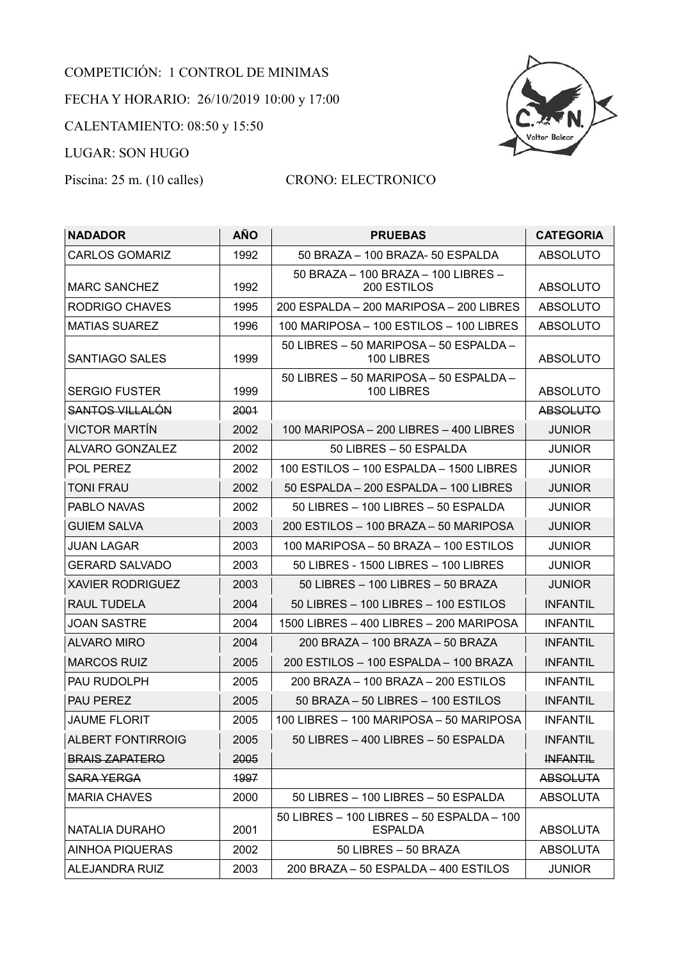## COMPETICIÓN: 1 CONTROL DE MINIMAS FECHA Y HORARIO: 26/10/2019 10:00 y 17:00 CALENTAMIENTO: 08:50 y 15:50 LUGAR: SON HUGO



## Piscina: 25 m. (10 calles) CRONO: ELECTRONICO

| <b>NADADOR</b>          | <b>AÑO</b> | <b>PRUEBAS</b>                                       | <b>CATEGORIA</b> |
|-------------------------|------------|------------------------------------------------------|------------------|
| <b>CARLOS GOMARIZ</b>   | 1992       | 50 BRAZA - 100 BRAZA- 50 ESPALDA                     | <b>ABSOLUTO</b>  |
|                         |            | 50 BRAZA - 100 BRAZA - 100 LIBRES -                  |                  |
| <b>MARC SANCHEZ</b>     | 1992       | 200 ESTILOS                                          | <b>ABSOLUTO</b>  |
| RODRIGO CHAVES          | 1995       | 200 ESPALDA - 200 MARIPOSA - 200 LIBRES              | <b>ABSOLUTO</b>  |
| <b>MATIAS SUAREZ</b>    | 1996       | 100 MARIPOSA - 100 ESTILOS - 100 LIBRES              | <b>ABSOLUTO</b>  |
| SANTIAGO SALES          | 1999       | 50 LIBRES - 50 MARIPOSA - 50 ESPALDA -<br>100 LIBRES | <b>ABSOLUTO</b>  |
| <b>SERGIO FUSTER</b>    | 1999       | 50 LIBRES - 50 MARIPOSA - 50 ESPALDA -<br>100 LIBRES | <b>ABSOLUTO</b>  |
| <b>SANTOS VILLALÓN</b>  | 2001       |                                                      | <b>ABSOLUTO</b>  |
| <b>VICTOR MARTIN</b>    | 2002       | 100 MARIPOSA - 200 LIBRES - 400 LIBRES               | <b>JUNIOR</b>    |
| ALVARO GONZALEZ         | 2002       | 50 LIBRES - 50 ESPALDA                               | <b>JUNIOR</b>    |
| POL PEREZ               | 2002       | 100 ESTILOS - 100 ESPALDA - 1500 LIBRES              | <b>JUNIOR</b>    |
| <b>TONI FRAU</b>        | 2002       | 50 ESPALDA - 200 ESPALDA - 100 LIBRES                | <b>JUNIOR</b>    |
| PABLO NAVAS             | 2002       | 50 LIBRES - 100 LIBRES - 50 ESPALDA                  | <b>JUNIOR</b>    |
| <b>GUIEM SALVA</b>      | 2003       | 200 ESTILOS – 100 BRAZA – 50 MARIPOSA                | <b>JUNIOR</b>    |
| <b>JUAN LAGAR</b>       | 2003       | 100 MARIPOSA – 50 BRAZA – 100 ESTILOS                | <b>JUNIOR</b>    |
| <b>GERARD SALVADO</b>   | 2003       | 50 LIBRES - 1500 LIBRES - 100 LIBRES                 | <b>JUNIOR</b>    |
| <b>XAVIER RODRIGUEZ</b> | 2003       | 50 LIBRES - 100 LIBRES - 50 BRAZA                    | <b>JUNIOR</b>    |
| RAUL TUDELA             | 2004       | 50 LIBRES - 100 LIBRES - 100 ESTILOS                 | <b>INFANTIL</b>  |
| <b>JOAN SASTRE</b>      | 2004       | 1500 LIBRES - 400 LIBRES - 200 MARIPOSA              | <b>INFANTIL</b>  |
| <b>ALVARO MIRO</b>      | 2004       | 200 BRAZA – 100 BRAZA – 50 BRAZA                     | <b>INFANTIL</b>  |
| <b>MARCOS RUIZ</b>      | 2005       | 200 ESTILOS - 100 ESPALDA - 100 BRAZA                | <b>INFANTIL</b>  |
| PAU RUDOLPH             | 2005       | 200 BRAZA - 100 BRAZA - 200 ESTILOS                  | <b>INFANTIL</b>  |
| <b>PAU PEREZ</b>        | 2005       | 50 BRAZA - 50 LIBRES - 100 ESTILOS                   | <b>INFANTIL</b>  |
| <b>JAUME FLORIT</b>     | 2005       | 100 LIBRES - 100 MARIPOSA - 50 MARIPOSA              | <b>INFANTIL</b>  |
| ALBERT FONTIRROIG       | 2005       | 50 LIBRES - 400 LIBRES - 50 ESPALDA                  | <b>INFANTIL</b>  |
| <b>BRAIS ZAPATERO</b>   | 2005       |                                                      | <b>INFANTIL</b>  |
| <b>SARA YERGA</b>       | 1997       |                                                      | <b>ABSOLUTA</b>  |
| <b>MARIA CHAVES</b>     | 2000       | 50 LIBRES - 100 LIBRES - 50 ESPALDA                  | <b>ABSOLUTA</b>  |
|                         |            | 50 LIBRES - 100 LIBRES - 50 ESPALDA - 100            |                  |
| <b>NATALIA DURAHO</b>   | 2001       | <b>ESPALDA</b>                                       | <b>ABSOLUTA</b>  |
| <b>AINHOA PIQUERAS</b>  | 2002       | 50 LIBRES - 50 BRAZA                                 | <b>ABSOLUTA</b>  |
| ALEJANDRA RUIZ          | 2003       | 200 BRAZA - 50 ESPALDA - 400 ESTILOS                 | <b>JUNIOR</b>    |